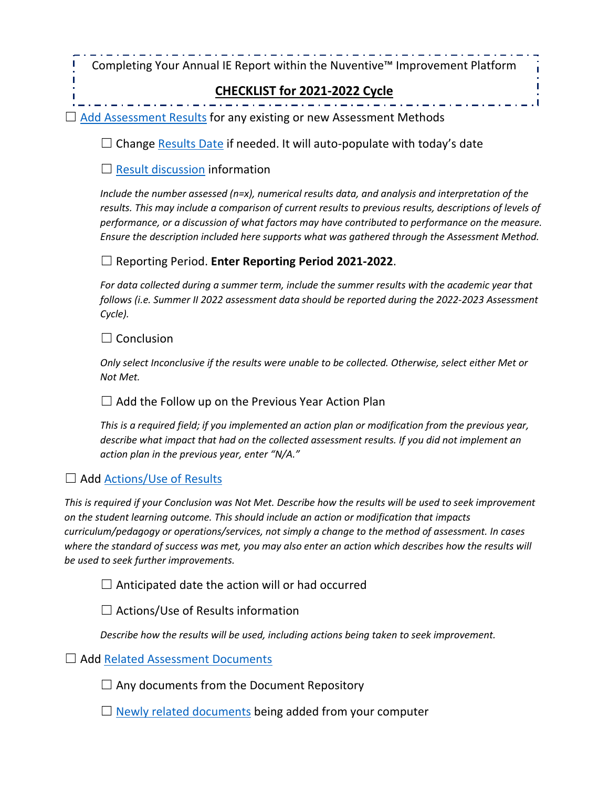Completing Your Annual IE Report within the Nuventive™ Improvement Platform

# **CHECKLIST for 2021-2022 Cycle**

 $\Box$  [Add Assessment Results](#page-3-0) for any existing or new Assessment Methods

 $\Box$  Change [Results Date](#page-3-1) if needed. It will auto-populate with today's date

 $\Box$  [Result discussion](#page-3-2) information

*Include the number assessed (n=x), numerical results data, and analysis and interpretation of the results. This may include a comparison of current results to previous results, descriptions of levels of performance, or a discussion of what factors may have contributed to performance on the measure. Ensure the description included here supports what was gathered through the Assessment Method.*

### ☐ Reporting Period. **Enter Reporting Period 2021-2022**.

*For data collected during a summer term, include the summer results with the academic year that follows (i.e. Summer II 2022 assessment data should be reported during the 2022-2023 Assessment Cycle).*

 $\Box$  Conclusion

I

*Only select Inconclusive if the results were unable to be collected. Otherwise, select either Met or Not Met.*

 $\Box$  Add the Follow up on the Previous Year Action Plan

*This is a required field; if you implemented an action plan or modification from the previous year, describe what impact that had on the collected assessment results. If you did not implement an action plan in the previous year, enter "N/A."*

## □ Add [Actions/Use of Results](#page-4-0)

*This is required if your Conclusion was Not Met. Describe how the results will be used to seek improvement on the student learning outcome. This should include an action or modification that impacts curriculum/pedagogy or operations/services, not simply a change to the method of assessment. In cases*  where the standard of success was met, you may also enter an action which describes how the results will *be used to seek further improvements.*

 $\Box$  Anticipated date the action will or had occurred

 $\Box$  Actions/Use of Results information

*Describe how the results will be used, including actions being taken to seek improvement.* 

□ Add [Related Assessment Documents](#page-4-1)

 $\Box$  Any documents from the Document Repository

 $\Box$  [Newly related documents](#page-5-0) being added from your computer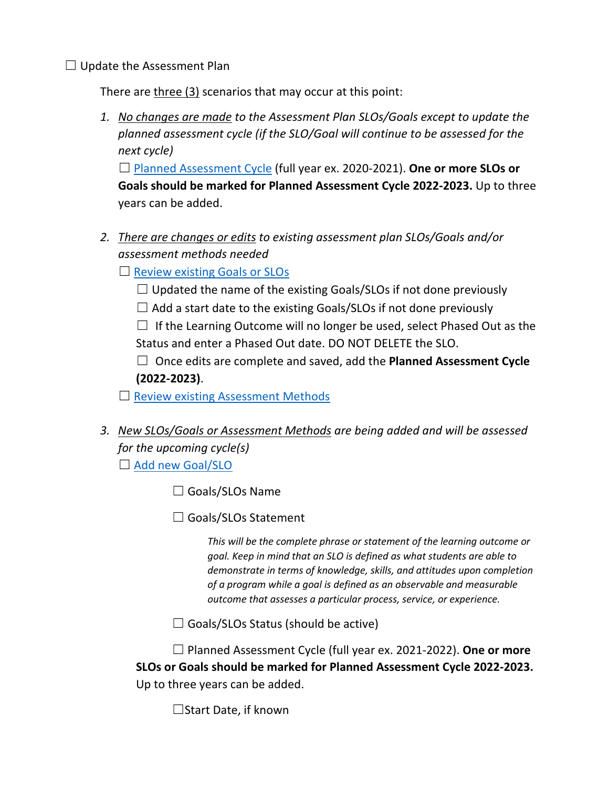$\Box$  Update the Assessment Plan

There are three (3) scenarios that may occur at this point:

*1. No changes are made to the Assessment Plan SLOs/Goals except to update the planned assessment cycle (if the SLO/Goal will continue to be assessed for the next cycle)*

☐ [Planned Assessment Cycle](#page-6-0) (full year ex. 2020-2021). **One or more SLOs or Goals should be marked for Planned Assessment Cycle 2022-2023.** Up to three years can be added.

*2. There are changes or edits to existing assessment plan SLOs/Goals and/or assessment methods needed*

 $\Box$  [Review existing Goals or SLOs](#page-6-0)

- $\Box$  Updated the name of the existing Goals/SLOs if not done previously
- $\Box$  Add a start date to the existing Goals/SLOs if not done previously

 $\Box$  If the Learning Outcome will no longer be used, select Phased Out as the Status and enter a Phased Out date. DO NOT DELETE the SLO.

☐ Once edits are complete and saved, add the **Planned Assessment Cycle (2022-2023)**.

 $\Box$  [Review existing Assessment Methods](#page-7-0)

# *3. New SLOs/Goals or Assessment Methods are being added and will be assessed for the upcoming cycle(s)*

□ [Add new Goal/SLO](#page-6-1)

□ Goals/SLOs Name

 $\Box$  Goals/SLOs Statement

*This will be the complete phrase or statement of the learning outcome or goal. Keep in mind that an SLO is defined as what students are able to demonstrate in terms of knowledge, skills, and attitudes upon completion of a program while a goal is defined as an observable and measurable outcome that assesses a particular process, service, or experience.*

 $\Box$  Goals/SLOs Status (should be active)

☐ Planned Assessment Cycle (full year ex. 2021-2022). **One or more SLOs or Goals should be marked for Planned Assessment Cycle 2022-2023.** Up to three years can be added.

☐Start Date, if known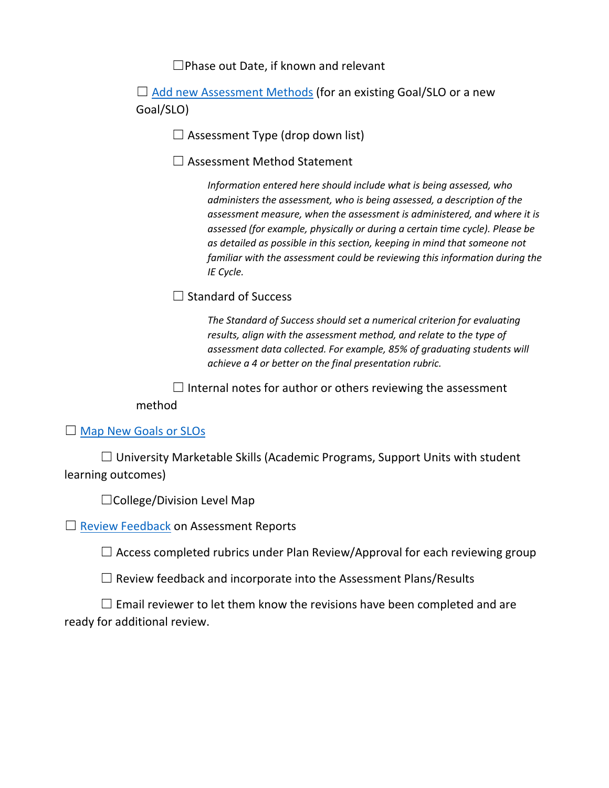☐Phase out Date, if known and relevant

 $\Box$  [Add new Assessment Methods](#page-7-1) (for an existing Goal/SLO or a new Goal/SLO)

 $\Box$  Assessment Type (drop down list)

☐ Assessment Method Statement

*Information entered here should include what is being assessed, who administers the assessment, who is being assessed, a description of the assessment measure, when the assessment is administered, and where it is assessed (for example, physically or during a certain time cycle). Please be as detailed as possible in this section, keeping in mind that someone not familiar with the assessment could be reviewing this information during the IE Cycle.*

 $\Box$  Standard of Success

*The Standard of Success should set a numerical criterion for evaluating results, align with the assessment method, and relate to the type of assessment data collected. For example, 85% of graduating students will achieve a 4 or better on the final presentation rubric.*

 $\Box$  Internal notes for author or others reviewing the assessment method

□ [Map New Goals or SLOs](#page-8-0)

 $\Box$  University Marketable Skills (Academic Programs, Support Units with student learning outcomes)

☐College/Division Level Map

□ [Review Feedback](#page-8-1) on Assessment Reports

 $\Box$  Access completed rubrics under Plan Review/Approval for each reviewing group

 $\Box$  Review feedback and incorporate into the Assessment Plans/Results

 $\Box$  Email reviewer to let them know the revisions have been completed and are ready for additional review.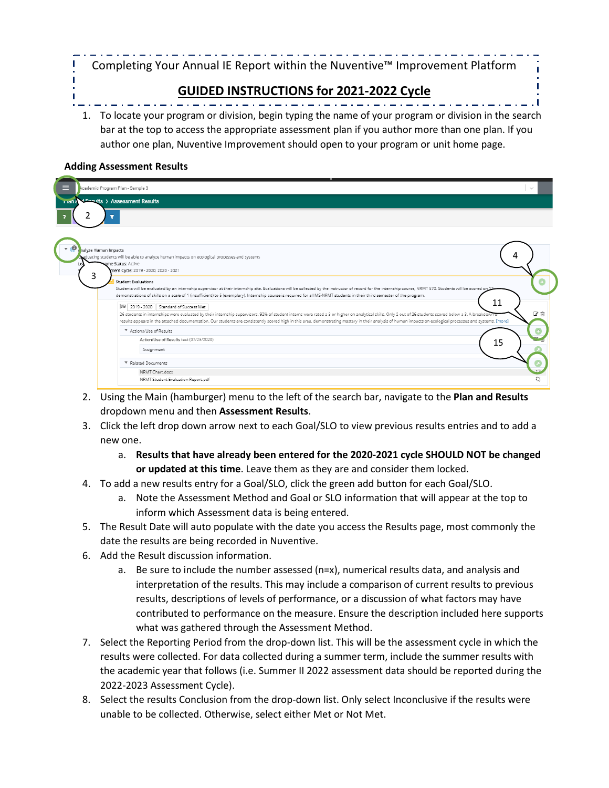Completing Your Annual IE Report within the Nuventive™ Improvement Platform

## **GUIDED INSTRUCTIONS for 2021-2022 Cycle**

1. To locate your program or division, begin typing the name of your program or division in the search bar at the top to access the appropriate assessment plan if you author more than one plan. If you author one plan, Nuventive Improvement should open to your program or unit home page.

#### **Adding Assessment Results**

 $\mathbf{I}$ 

| ⋿      | kcademic Program Plan - Sample 3                                                                                                                                                                                                                                                                                                                                                                                                                                       |    |
|--------|------------------------------------------------------------------------------------------------------------------------------------------------------------------------------------------------------------------------------------------------------------------------------------------------------------------------------------------------------------------------------------------------------------------------------------------------------------------------|----|
| mail a | d Pocults > Assessment Results                                                                                                                                                                                                                                                                                                                                                                                                                                         |    |
|        |                                                                                                                                                                                                                                                                                                                                                                                                                                                                        |    |
|        |                                                                                                                                                                                                                                                                                                                                                                                                                                                                        |    |
|        | halyze Human Impacts<br>raduating students will be able to analyze human impacts on ecological processes and systems                                                                                                                                                                                                                                                                                                                                                   |    |
| Lea    | some Status: Active<br>ment Cycle: 2019 - 2020, 2020 - 2021                                                                                                                                                                                                                                                                                                                                                                                                            |    |
| 3      | <b>Student Evaluations</b><br>Students will be evaluated by an internship supervisor at their internship site. Evaluations will be collected by the instructor of record for the internship course, NRMT 570. Students will be scored on 12<br>demonstrations of skills on a scale of 1 (insufficient) to 5 (exemplary). Internship course is required for all MS-NRMT students in their third semester of the program.                                                |    |
|        | 11<br>2019 - 2020 Standard of Success Met<br>26 students in internships were evaluated by their internship supervisors. 92% of student interns were rated a 3 or higher on analytical skills. Only 2 out of 26 students scored below a 3. A breakdown o<br>results appears in the attached documentation. Our students are consistently scored high in this area, demonstrating mastery in their analysis of human impacts on ecological processes and systems. [more] | ぴ合 |
|        | Actions/Use of Results                                                                                                                                                                                                                                                                                                                                                                                                                                                 |    |
|        | Action/Use of Results test (07/23/2020)<br>15<br>Assignment                                                                                                                                                                                                                                                                                                                                                                                                            |    |
|        | * Related Documents                                                                                                                                                                                                                                                                                                                                                                                                                                                    |    |
|        | NRMT Chart.docx<br>NRMT Student Evaluation Report.pdf                                                                                                                                                                                                                                                                                                                                                                                                                  |    |
|        |                                                                                                                                                                                                                                                                                                                                                                                                                                                                        |    |

- 2. Using the Main (hamburger) menu to the left of the search bar, navigate to the **Plan and Results** dropdown menu and then **Assessment Results**.
- <span id="page-3-0"></span>3. Click the left drop down arrow next to each Goal/SLO to view previous results entries and to add a new one.
	- a. **Results that have already been entered for the 2020-2021 cycle SHOULD NOT be changed or updated at this time**. Leave them as they are and consider them locked.
- 4. To add a new results entry for a Goal/SLO, click the green add button for each Goal/SLO.
	- a. Note the Assessment Method and Goal or SLO information that will appear at the top to inform which Assessment data is being entered.
- <span id="page-3-1"></span>5. The Result Date will auto populate with the date you access the Results page, most commonly the date the results are being recorded in Nuventive.
- <span id="page-3-2"></span>6. Add the Result discussion information.
	- a. Be sure to include the number assessed (n=x), numerical results data, and analysis and interpretation of the results. This may include a comparison of current results to previous results, descriptions of levels of performance, or a discussion of what factors may have contributed to performance on the measure. Ensure the description included here supports what was gathered through the Assessment Method.
- 7. Select the Reporting Period from the drop-down list. This will be the assessment cycle in which the results were collected. For data collected during a summer term, include the summer results with the academic year that follows (i.e. Summer II 2022 assessment data should be reported during the 2022-2023 Assessment Cycle).
- 8. Select the results Conclusion from the drop-down list. Only select Inconclusive if the results were unable to be collected. Otherwise, select either Met or Not Met.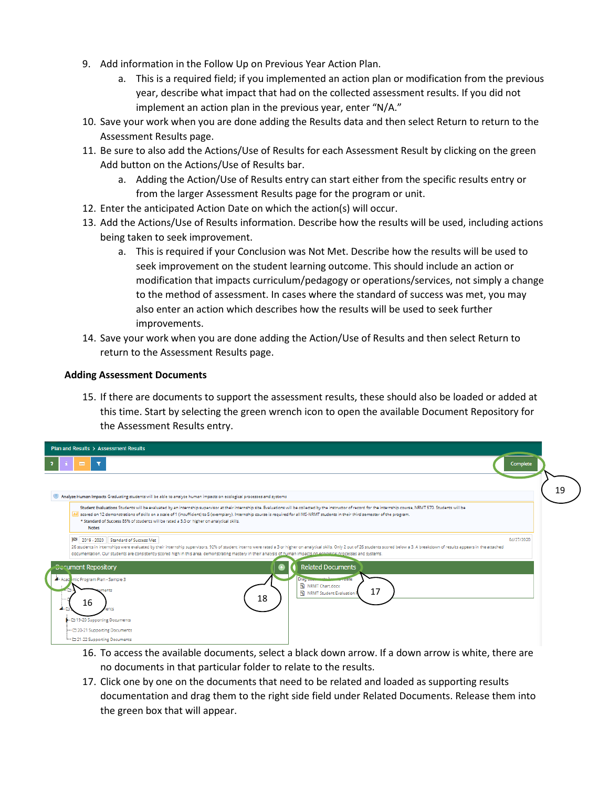- <span id="page-4-1"></span>9. Add information in the Follow Up on Previous Year Action Plan.
	- a. This is a required field; if you implemented an action plan or modification from the previous year, describe what impact that had on the collected assessment results. If you did not implement an action plan in the previous year, enter "N/A."
- 10. Save your work when you are done adding the Results data and then select Return to return to the Assessment Results page.
- <span id="page-4-0"></span>11. Be sure to also add the Actions/Use of Results for each Assessment Result by clicking on the green Add button on the Actions/Use of Results bar.
	- a. Adding the Action/Use of Results entry can start either from the specific results entry or from the larger Assessment Results page for the program or unit.
- 12. Enter the anticipated Action Date on which the action(s) will occur.
- 13. Add the Actions/Use of Results information. Describe how the results will be used, including actions being taken to seek improvement.
	- a. This is required if your Conclusion was Not Met. Describe how the results will be used to seek improvement on the student learning outcome. This should include an action or modification that impacts curriculum/pedagogy or operations/services, not simply a change to the method of assessment. In cases where the standard of success was met, you may also enter an action which describes how the results will be used to seek further improvements.
- 14. Save your work when you are done adding the Action/Use of Results and then select Return to return to the Assessment Results page.

#### **Adding Assessment Documents**

15. If there are documents to support the assessment results, these should also be loaded or added at this time. Start by selecting the green wrench icon to open the available Document Repository for the Assessment Results entry.

| Plan and Results > Assessment Results                                                                                                                                                                                                                                                                                                                                                                                                                                                                                      |    |  |  |
|----------------------------------------------------------------------------------------------------------------------------------------------------------------------------------------------------------------------------------------------------------------------------------------------------------------------------------------------------------------------------------------------------------------------------------------------------------------------------------------------------------------------------|----|--|--|
| $\equiv$<br>Complete                                                                                                                                                                                                                                                                                                                                                                                                                                                                                                       |    |  |  |
|                                                                                                                                                                                                                                                                                                                                                                                                                                                                                                                            | 19 |  |  |
| Analyze Human Impacts Graduating students will be able to analyze human impacts on ecological processes and systems                                                                                                                                                                                                                                                                                                                                                                                                        |    |  |  |
| Student Evaluations Students will be evaluated by an internship supervisor at their internship site. Evaluations will be collected by the instructor of record for the internship course, NRMT 570. Students will be<br>scored on 12 demonstrations of skills on a scale of 1 (insufficient) to 5 (exemplary). Internship course is required for all MS-NRMT students in their third semester of the program.<br>* Standard of Success 85% of students will be rated a 3.0 or higher on analytical skills.<br><b>Notes</b> |    |  |  |
| k₹<br>04/27/2020<br>2019 - 2020 Standard of Success Met<br>26 students in internships were evaluated by their internship supervisors. 92% of student interns were rated a 3 or higher on analytical skills. Only 2 out of 26 students scored below a 3. A breakdown of results appears in<br>documentation. Our students are consistently scored high in this area, demonstrating mastery in their analysis of human impacts on ecological processes and systems.                                                          |    |  |  |
| <b>Related Documents</b><br><b>Corument Repository</b><br>Drag commands hasses<br>Academic Program Plan - Sample 3<br>NRMT Chart.docx<br>ments<br>17<br>NRMT Student Evaluation<br>18<br>16<br>$4 - 1$<br>hents                                                                                                                                                                                                                                                                                                            |    |  |  |
| ▶ □ 19-20 Supporting Documents<br>- □ 20-21 Supporting Documents<br><sup>1</sup> 21-22 Supporting Documents                                                                                                                                                                                                                                                                                                                                                                                                                |    |  |  |

- 16. To access the available documents, select a black down arrow. If a down arrow is white, there are no documents in that particular folder to relate to the results.
- 17. Click one by one on the documents that need to be related and loaded as supporting results documentation and drag them to the right side field under Related Documents. Release them into the green box that will appear.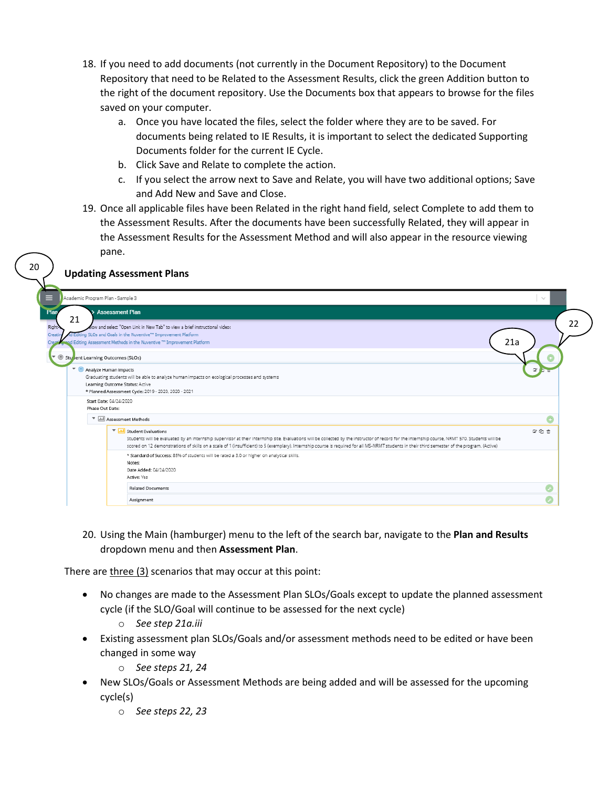- <span id="page-5-0"></span>18. If you need to add documents (not currently in the Document Repository) to the Document Repository that need to be Related to the Assessment Results, click the green Addition button to the right of the document repository. Use the Documents box that appears to browse for the files saved on your computer.
	- a. Once you have located the files, select the folder where they are to be saved. For documents being related to IE Results, it is important to select the dedicated Supporting Documents folder for the current IE Cycle.
	- b. Click Save and Relate to complete the action.
	- c. If you select the arrow next to Save and Relate, you will have two additional options; Save and Add New and Save and Close.
- 19. Once all applicable files have been Related in the right hand field, select Complete to add them to the Assessment Results. After the documents have been successfully Related, they will appear in the Assessment Results for the Assessment Method and will also appear in the resource viewing pane.

#### **Updating Assessment Plans**

20

| Plan                                                                | <b>Assessment Plan</b>                                                                                                                                                                                                                                                                                                                                                                                                                 |             |
|---------------------------------------------------------------------|----------------------------------------------------------------------------------------------------------------------------------------------------------------------------------------------------------------------------------------------------------------------------------------------------------------------------------------------------------------------------------------------------------------------------------------|-------------|
| 21<br>Right-<br>Creat<br>Creati<br>Stulent Learning Outcomes (SLOs) | low and select "Open Link in New Tab" to view a brief instructional video:<br>d Editing SLOs and Goals in the Nuventive <sup>114</sup> Improvement Platform<br>pand Editing Assessment Methods in the Nuventive ** Improvement Platform                                                                                                                                                                                                | 21a         |
|                                                                     |                                                                                                                                                                                                                                                                                                                                                                                                                                        |             |
| Analyze Human Impacts                                               | Graduating students will be able to analyze human impacts on ecological processes and systems                                                                                                                                                                                                                                                                                                                                          | $\mathbb Z$ |
|                                                                     | Learning Outcome Status: Active                                                                                                                                                                                                                                                                                                                                                                                                        |             |
|                                                                     | * Planned Assessment Cycle: 2019 - 2020, 2020 - 2021                                                                                                                                                                                                                                                                                                                                                                                   |             |
|                                                                     | Start Date: 04/24/2020                                                                                                                                                                                                                                                                                                                                                                                                                 |             |
| Phase Out Date:                                                     |                                                                                                                                                                                                                                                                                                                                                                                                                                        |             |
|                                                                     | v alıl Assessment Methods                                                                                                                                                                                                                                                                                                                                                                                                              | Ġ           |
|                                                                     | <b>T</b> Ill Student Evaluations<br>Students will be evaluated by an internship supervisor at their internship site. Evaluations will be collected by the instructor of record for the internship course, NRMT 570. Students will be<br>scored on 12 demonstrations of skills on a scale of 1 (insufficient) to 5 (exemplary). Internship course is required for all MS-NRMT students in their third semester of the program. (Active) | 図色音         |
|                                                                     | * Standard of Success: 85% of students will be rated a 3.0 or higher on analytical skills.<br>Notes:<br>Date Added: 04/24/2020<br>Active: Yes                                                                                                                                                                                                                                                                                          |             |
|                                                                     | <b>Related Documents</b>                                                                                                                                                                                                                                                                                                                                                                                                               |             |
|                                                                     |                                                                                                                                                                                                                                                                                                                                                                                                                                        |             |

20. Using the Main (hamburger) menu to the left of the search bar, navigate to the **Plan and Results** dropdown menu and then **Assessment Plan**.

There are three (3) scenarios that may occur at this point:

- No changes are made to the Assessment Plan SLOs/Goals except to update the planned assessment cycle (if the SLO/Goal will continue to be assessed for the next cycle)
	- o *See step 21a.iii*
- Existing assessment plan SLOs/Goals and/or assessment methods need to be edited or have been changed in some way
	- o *See steps 21, 24*
- New SLOs/Goals or Assessment Methods are being added and will be assessed for the upcoming cycle(s)
	- o *See steps 22, 23*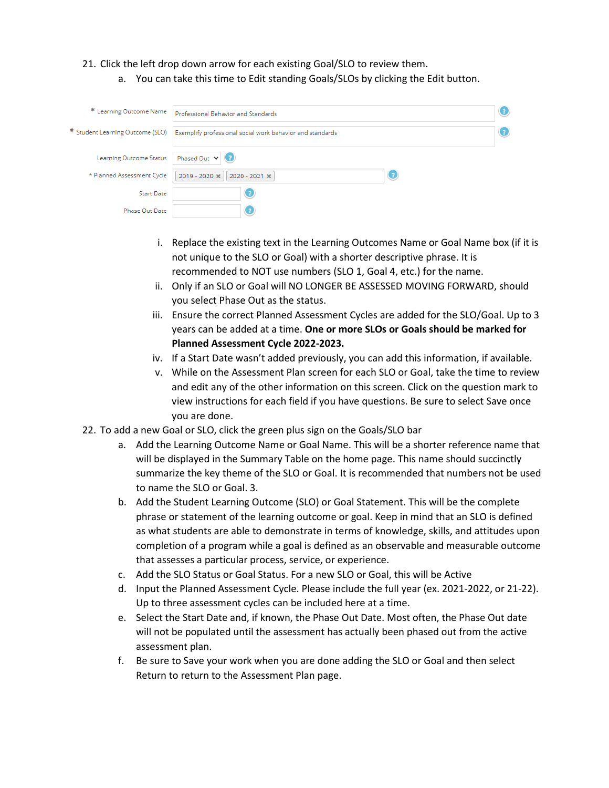#### <span id="page-6-0"></span>21. Click the left drop down arrow for each existing Goal/SLO to review them.

a. You can take this time to Edit standing Goals/SLOs by clicking the Edit button.

| * Learning Outcome Name<br>Professional Behavior and Standards |                                                           |  |
|----------------------------------------------------------------|-----------------------------------------------------------|--|
| * Student Learning Outcome (SLO)                               | Exemplify professional social work behavior and standards |  |
| <b>Learning Outcome Status</b>                                 | Phased Out $\vee$ (7)                                     |  |
| * Planned Assessment Cycle                                     | C<br>2019 - 2020 *<br>2020 - 2021 *                       |  |
| <b>Start Date</b>                                              | C                                                         |  |
| Phase Out Date                                                 | C                                                         |  |

- i. Replace the existing text in the Learning Outcomes Name or Goal Name box (if it is not unique to the SLO or Goal) with a shorter descriptive phrase. It is recommended to NOT use numbers (SLO 1, Goal 4, etc.) for the name.
- ii. Only if an SLO or Goal will NO LONGER BE ASSESSED MOVING FORWARD, should you select Phase Out as the status.
- iii. Ensure the correct Planned Assessment Cycles are added for the SLO/Goal. Up to 3 years can be added at a time. **One or more SLOs or Goals should be marked for Planned Assessment Cycle 2022-2023.**
- iv. If a Start Date wasn't added previously, you can add this information, if available.
- v. While on the Assessment Plan screen for each SLO or Goal, take the time to review and edit any of the other information on this screen. Click on the question mark to view instructions for each field if you have questions. Be sure to select Save once you are done.
- <span id="page-6-1"></span>22. To add a new Goal or SLO, click the green plus sign on the Goals/SLO bar
	- a. Add the Learning Outcome Name or Goal Name. This will be a shorter reference name that will be displayed in the Summary Table on the home page. This name should succinctly summarize the key theme of the SLO or Goal. It is recommended that numbers not be used to name the SLO or Goal. 3.
	- b. Add the Student Learning Outcome (SLO) or Goal Statement. This will be the complete phrase or statement of the learning outcome or goal. Keep in mind that an SLO is defined as what students are able to demonstrate in terms of knowledge, skills, and attitudes upon completion of a program while a goal is defined as an observable and measurable outcome that assesses a particular process, service, or experience.
	- c. Add the SLO Status or Goal Status. For a new SLO or Goal, this will be Active
	- d. Input the Planned Assessment Cycle. Please include the full year (ex. 2021-2022, or 21-22). Up to three assessment cycles can be included here at a time.
	- e. Select the Start Date and, if known, the Phase Out Date. Most often, the Phase Out date will not be populated until the assessment has actually been phased out from the active assessment plan.
	- f. Be sure to Save your work when you are done adding the SLO or Goal and then select Return to return to the Assessment Plan page.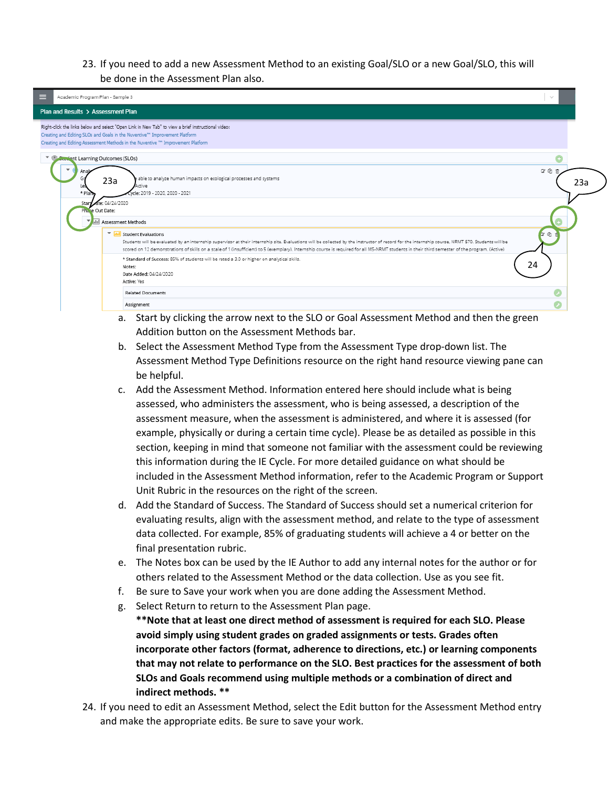#### 23. If you need to add a new Assessment Method to an existing Goal/SLO or a new Goal/SLO, this will be done in the Assessment Plan also.

<span id="page-7-1"></span>

| ⋿ | Academic Program Plan - Sample 3                                                                                                                                                                                                                                                                                                                                                                                                                                  | $\sim$     |  |
|---|-------------------------------------------------------------------------------------------------------------------------------------------------------------------------------------------------------------------------------------------------------------------------------------------------------------------------------------------------------------------------------------------------------------------------------------------------------------------|------------|--|
|   | Plan and Results > Assessment Plan                                                                                                                                                                                                                                                                                                                                                                                                                                |            |  |
|   | Right-click the links below and select "Open Link in New Tab" to view a brief instructional video:<br>Creating and Editing SLOs and Goals in the Nuventive <sup>74</sup> Improvement Platform<br>Creating and Editing Assessment Methods in the Nuventive ** Improvement Platform                                                                                                                                                                                 |            |  |
|   | <b>Contract Learning Outcomes (SLOs)</b>                                                                                                                                                                                                                                                                                                                                                                                                                          |            |  |
|   | able to analyze human impacts on ecological processes and systems<br>23a<br>Active<br>Le<br>vcle: 2019 - 2020, 2020 - 2021<br>* Plan                                                                                                                                                                                                                                                                                                                              | 図名官<br>23a |  |
|   | ate: 04/24/2020<br>Start<br>Phare Out Date:                                                                                                                                                                                                                                                                                                                                                                                                                       |            |  |
|   | Assessment Methods                                                                                                                                                                                                                                                                                                                                                                                                                                                |            |  |
|   | $\boldsymbol{\mathrm{v}}$<br><b>Jul</b> Student Evaluations<br>Students will be evaluated by an internship supervisor at their internship site. Evaluations will be collected by the instructor of record for the internship course, NRMT 570. Students will be<br>scored on 12 demonstrations of skills on a scale of 1 (insufficient) to 5 (exemplary). Internship course is required for all MS-NRMT students in their third semester of the program. (Active) | 200        |  |
|   | * Standard of Success: 85% of students will be rated a 3.0 or higher on analytical skills.<br>Notes:<br>Date Added: 04/24/2020<br>Active: Yes                                                                                                                                                                                                                                                                                                                     | 24         |  |
|   | <b>Related Documents</b>                                                                                                                                                                                                                                                                                                                                                                                                                                          |            |  |
|   | Assignment                                                                                                                                                                                                                                                                                                                                                                                                                                                        |            |  |

- a. Start by clicking the arrow next to the SLO or Goal Assessment Method and then the green Addition button on the Assessment Methods bar.
- b. Select the Assessment Method Type from the Assessment Type drop-down list. The Assessment Method Type Definitions resource on the right hand resource viewing pane can be helpful.
- c. Add the Assessment Method. Information entered here should include what is being assessed, who administers the assessment, who is being assessed, a description of the assessment measure, when the assessment is administered, and where it is assessed (for example, physically or during a certain time cycle). Please be as detailed as possible in this section, keeping in mind that someone not familiar with the assessment could be reviewing this information during the IE Cycle. For more detailed guidance on what should be included in the Assessment Method information, refer to the Academic Program or Support Unit Rubric in the resources on the right of the screen.
- d. Add the Standard of Success. The Standard of Success should set a numerical criterion for evaluating results, align with the assessment method, and relate to the type of assessment data collected. For example, 85% of graduating students will achieve a 4 or better on the final presentation rubric.
- e. The Notes box can be used by the IE Author to add any internal notes for the author or for others related to the Assessment Method or the data collection. Use as you see fit.
- f. Be sure to Save your work when you are done adding the Assessment Method.
- g. Select Return to return to the Assessment Plan page.

**\*\*Note that at least one direct method of assessment is required for each SLO. Please avoid simply using student grades on graded assignments or tests. Grades often incorporate other factors (format, adherence to directions, etc.) or learning components that may not relate to performance on the SLO. Best practices for the assessment of both SLOs and Goals recommend using multiple methods or a combination of direct and indirect methods. \*\*** 

<span id="page-7-0"></span>24. If you need to edit an Assessment Method, select the Edit button for the Assessment Method entry and make the appropriate edits. Be sure to save your work.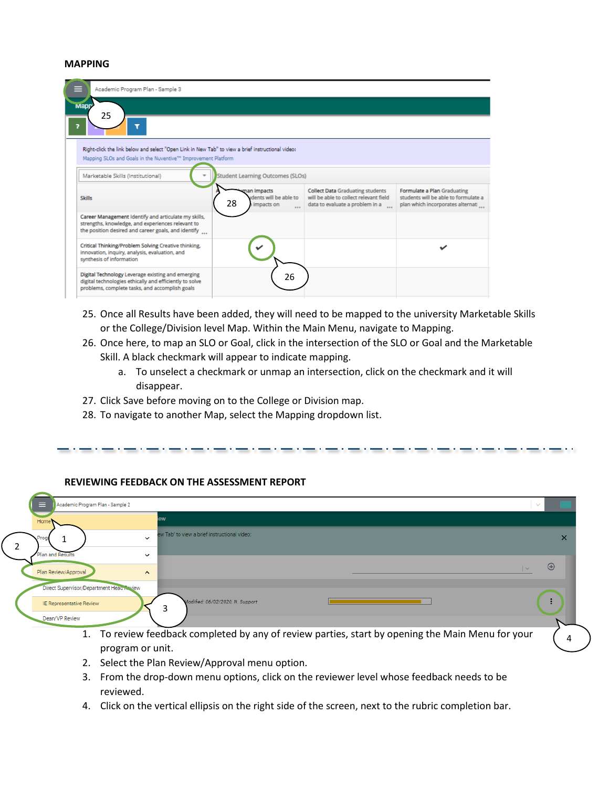#### <span id="page-8-1"></span><span id="page-8-0"></span>**MAPPING**

| Academic Program Plan - Sample 3                                                                                                                                 |                                                                                                                                                                                 |                                                                                                                      |                                                                                                          |  |  |
|------------------------------------------------------------------------------------------------------------------------------------------------------------------|---------------------------------------------------------------------------------------------------------------------------------------------------------------------------------|----------------------------------------------------------------------------------------------------------------------|----------------------------------------------------------------------------------------------------------|--|--|
| <b>Mapp</b>                                                                                                                                                      |                                                                                                                                                                                 |                                                                                                                      |                                                                                                          |  |  |
| 25<br>,                                                                                                                                                          |                                                                                                                                                                                 |                                                                                                                      |                                                                                                          |  |  |
|                                                                                                                                                                  | Right-click the link below and select "Open Link in New Tab" to view a brief instructional video:<br>Mapping SLOs and Goals in the Nuventive <sup>74</sup> Improvement Platform |                                                                                                                      |                                                                                                          |  |  |
| Marketable Skills (Institutional)                                                                                                                                | <b>Student Learning Outcomes (SLOs)</b>                                                                                                                                         |                                                                                                                      |                                                                                                          |  |  |
| <b>Skills</b>                                                                                                                                                    | man Impacts<br>idents will be able to<br>28<br>impacts on<br>$\cdots$                                                                                                           | <b>Collect Data Graduating students</b><br>will be able to collect relevant field<br>data to evaluate a problem in a | Formulate a Plan Graduating<br>students will be able to formulate a<br>plan which incorporates alternati |  |  |
| Career Management Identify and articulate my skills,<br>strengths, knowledge, and experiences relevant to<br>the position desired and career goals, and identify |                                                                                                                                                                                 |                                                                                                                      |                                                                                                          |  |  |
| Critical Thinking/Problem Solving Creative thinking,<br>innovation, inquiry, analysis, evaluation, and<br>synthesis of information                               |                                                                                                                                                                                 |                                                                                                                      |                                                                                                          |  |  |
| Digital Technology Leverage existing and emerging<br>digital technologies ethically and efficiently to solve<br>problems, complete tasks, and accomplish goals   | 26                                                                                                                                                                              |                                                                                                                      |                                                                                                          |  |  |

- 25. Once all Results have been added, they will need to be mapped to the university Marketable Skills or the College/Division level Map. Within the Main Menu, navigate to Mapping.
- 26. Once here, to map an SLO or Goal, click in the intersection of the SLO or Goal and the Marketable Skill. A black checkmark will appear to indicate mapping.
	- a. To unselect a checkmark or unmap an intersection, click on the checkmark and it will disappear.

the company's state of the company's state of the company's state of the company's

- 27. Click Save before moving on to the College or Division map.
- 28. To navigate to another Map, select the Mapping dropdown list.

| $\equiv$<br>Academic Program Plan - Sample 2                         |                                                              | $\sim$                                                                                            |          |
|----------------------------------------------------------------------|--------------------------------------------------------------|---------------------------------------------------------------------------------------------------|----------|
| Hom                                                                  | ew                                                           |                                                                                                   |          |
|                                                                      | ew Tab" to view a brief instructional video:<br>$\checkmark$ |                                                                                                   | $\times$ |
| <b>Plan and Results</b>                                              | $\checkmark$                                                 | $\bigoplus$                                                                                       |          |
| Plan Review/Approval                                                 | $\hat{}$                                                     |                                                                                                   |          |
| Direct Supervisor/Department Head Review<br>IE Representative Review | Modified: 06/02/2020, N. Support                             |                                                                                                   |          |
| Dean/VP Review                                                       |                                                              |                                                                                                   |          |
|                                                                      | $\sim$ $\sim$ $\sim$                                         | 1. To review feedback completed by any of review parties, start by opening the Main Menu for your |          |

### **REVIEWING FEEDBACK ON THE ASSESSMENT REPORT**

- program or unit. 2. Select the Plan Review/Approval menu option.
- 3. From the drop-down menu options, click on the reviewer level whose feedback needs to be reviewed.
- 4. Click on the vertical ellipsis on the right side of the screen, next to the rubric completion bar.